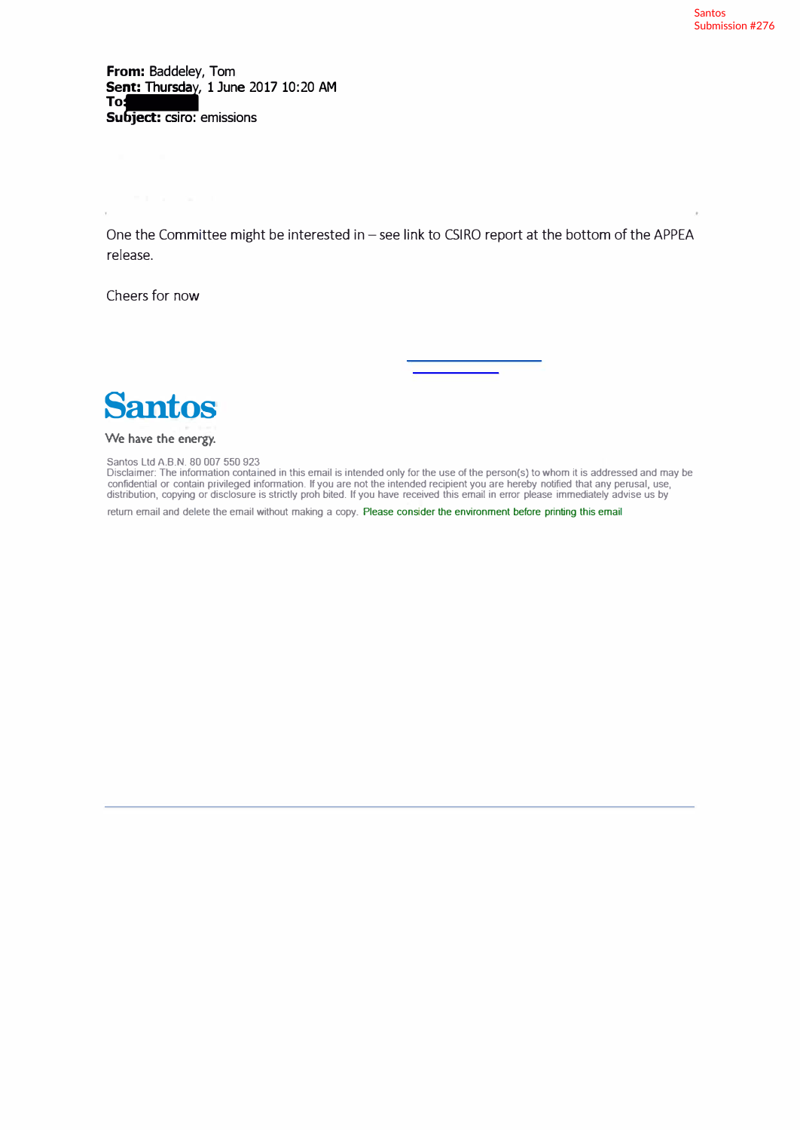**From:** Baddeley, Tom Seniiii Thurscla : , 1 June 2017 10:20 AM **To Subject: csiro: emissions** 

One the Committee might be interested in - see link to CSIRO report at the bottom of the APPEA release.

Cheers for now

**Santos** 

## **We have the energy.**

Santos Ltd A.B.N. 80 007 550 923

Disclaimer: The infonnation contained in this email is intended only for the use of the person(s) to whom it is addressed and may be confidential or contain privileged infonnation. If you are not the intended recipient you are hereby notified that any perusal, use, distribution, copying or disclosure is strictly proh bited. If you have received this email in error please immediately advise us by

return email and delete the email without making a copy. Please consider the environment before printing this email